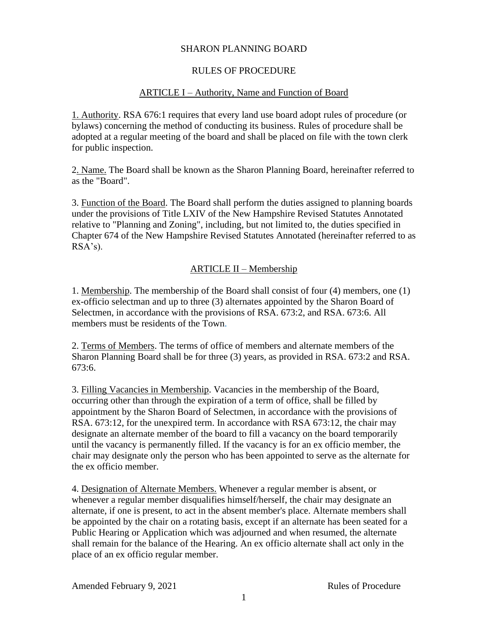### SHARON PLANNING BOARD

## RULES OF PROCEDURE

### ARTICLE I – Authority, Name and Function of Board

1. Authority. RSA 676:1 requires that every land use board adopt rules of procedure (or bylaws) concerning the method of conducting its business. Rules of procedure shall be adopted at a regular meeting of the board and shall be placed on file with the town clerk for public inspection.

2. Name. The Board shall be known as the Sharon Planning Board, hereinafter referred to as the "Board".

3. Function of the Board. The Board shall perform the duties assigned to planning boards under the provisions of Title LXIV of the New Hampshire Revised Statutes Annotated relative to "Planning and Zoning", including, but not limited to, the duties specified in Chapter 674 of the New Hampshire Revised Statutes Annotated (hereinafter referred to as RSA's).

### ARTICLE II – Membership

1. Membership. The membership of the Board shall consist of four (4) members, one (1) ex-officio selectman and up to three (3) alternates appointed by the Sharon Board of Selectmen, in accordance with the provisions of RSA. 673:2, and RSA. 673:6. All members must be residents of the Town.

2. Terms of Members. The terms of office of members and alternate members of the Sharon Planning Board shall be for three (3) years, as provided in RSA. 673:2 and RSA. 673:6.

3. Filling Vacancies in Membership. Vacancies in the membership of the Board, occurring other than through the expiration of a term of office, shall be filled by appointment by the Sharon Board of Selectmen, in accordance with the provisions of RSA. 673:12, for the unexpired term. In accordance with RSA 673:12, the chair may designate an alternate member of the board to fill a vacancy on the board temporarily until the vacancy is permanently filled. If the vacancy is for an ex officio member, the chair may designate only the person who has been appointed to serve as the alternate for the ex officio member.

4. Designation of Alternate Members. Whenever a regular member is absent, or whenever a regular member disqualifies himself/herself, the chair may designate an alternate, if one is present, to act in the absent member's place. Alternate members shall be appointed by the chair on a rotating basis, except if an alternate has been seated for a Public Hearing or Application which was adjourned and when resumed, the alternate shall remain for the balance of the Hearing. An ex officio alternate shall act only in the place of an ex officio regular member.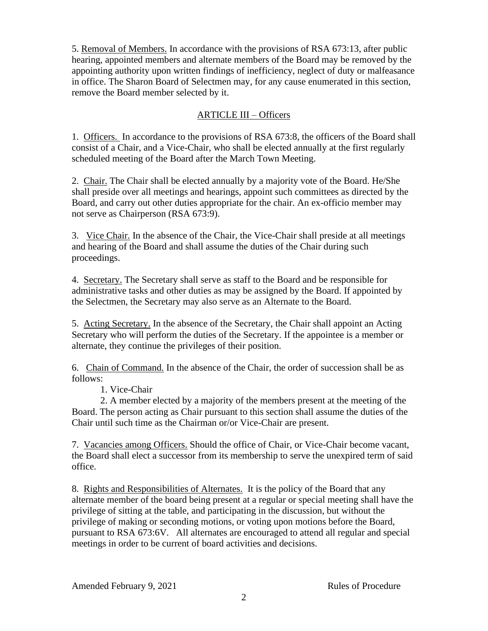5. Removal of Members. In accordance with the provisions of RSA 673:13, after public hearing, appointed members and alternate members of the Board may be removed by the appointing authority upon written findings of inefficiency, neglect of duty or malfeasance in office. The Sharon Board of Selectmen may, for any cause enumerated in this section, remove the Board member selected by it.

# ARTICLE III – Officers

1. Officers. In accordance to the provisions of RSA 673:8, the officers of the Board shall consist of a Chair, and a Vice-Chair, who shall be elected annually at the first regularly scheduled meeting of the Board after the March Town Meeting.

2. Chair. The Chair shall be elected annually by a majority vote of the Board. He/She shall preside over all meetings and hearings, appoint such committees as directed by the Board, and carry out other duties appropriate for the chair. An ex-officio member may not serve as Chairperson (RSA 673:9).

3. Vice Chair. In the absence of the Chair, the Vice-Chair shall preside at all meetings and hearing of the Board and shall assume the duties of the Chair during such proceedings.

4. Secretary. The Secretary shall serve as staff to the Board and be responsible for administrative tasks and other duties as may be assigned by the Board. If appointed by the Selectmen, the Secretary may also serve as an Alternate to the Board.

5. Acting Secretary. In the absence of the Secretary, the Chair shall appoint an Acting Secretary who will perform the duties of the Secretary. If the appointee is a member or alternate, they continue the privileges of their position.

6. Chain of Command. In the absence of the Chair, the order of succession shall be as follows:

1. Vice-Chair

2. A member elected by a majority of the members present at the meeting of the Board. The person acting as Chair pursuant to this section shall assume the duties of the Chair until such time as the Chairman or/or Vice-Chair are present.

7. Vacancies among Officers. Should the office of Chair, or Vice-Chair become vacant, the Board shall elect a successor from its membership to serve the unexpired term of said office.

8. Rights and Responsibilities of Alternates. It is the policy of the Board that any alternate member of the board being present at a regular or special meeting shall have the privilege of sitting at the table, and participating in the discussion, but without the privilege of making or seconding motions, or voting upon motions before the Board, pursuant to RSA 673:6V. All alternates are encouraged to attend all regular and special meetings in order to be current of board activities and decisions.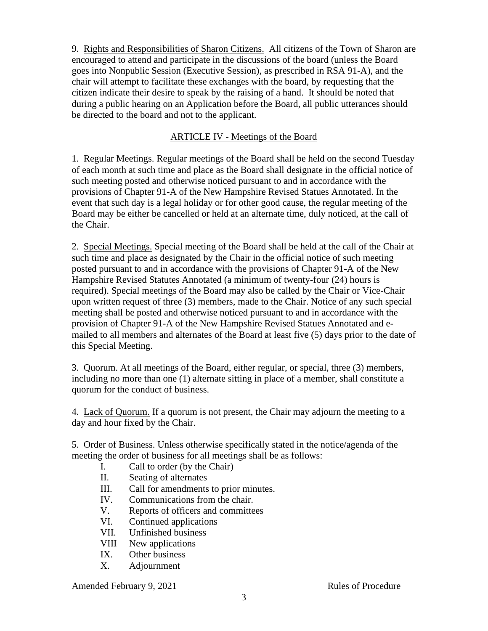9. Rights and Responsibilities of Sharon Citizens. All citizens of the Town of Sharon are encouraged to attend and participate in the discussions of the board (unless the Board goes into Nonpublic Session (Executive Session), as prescribed in RSA 91-A), and the chair will attempt to facilitate these exchanges with the board, by requesting that the citizen indicate their desire to speak by the raising of a hand. It should be noted that during a public hearing on an Application before the Board, all public utterances should be directed to the board and not to the applicant.

#### ARTICLE IV - Meetings of the Board

1. Regular Meetings. Regular meetings of the Board shall be held on the second Tuesday of each month at such time and place as the Board shall designate in the official notice of such meeting posted and otherwise noticed pursuant to and in accordance with the provisions of Chapter 91-A of the New Hampshire Revised Statues Annotated. In the event that such day is a legal holiday or for other good cause, the regular meeting of the Board may be either be cancelled or held at an alternate time, duly noticed, at the call of the Chair.

2. Special Meetings. Special meeting of the Board shall be held at the call of the Chair at such time and place as designated by the Chair in the official notice of such meeting posted pursuant to and in accordance with the provisions of Chapter 91-A of the New Hampshire Revised Statutes Annotated (a minimum of twenty-four (24) hours is required). Special meetings of the Board may also be called by the Chair or Vice-Chair upon written request of three (3) members, made to the Chair. Notice of any such special meeting shall be posted and otherwise noticed pursuant to and in accordance with the provision of Chapter 91-A of the New Hampshire Revised Statues Annotated and emailed to all members and alternates of the Board at least five (5) days prior to the date of this Special Meeting.

3. Quorum. At all meetings of the Board, either regular, or special, three (3) members, including no more than one (1) alternate sitting in place of a member, shall constitute a quorum for the conduct of business.

4. Lack of Quorum. If a quorum is not present, the Chair may adjourn the meeting to a day and hour fixed by the Chair.

5. Order of Business. Unless otherwise specifically stated in the notice/agenda of the meeting the order of business for all meetings shall be as follows:

- I. Call to order (by the Chair)
- II. Seating of alternates
- III. Call for amendments to prior minutes.
- IV. Communications from the chair.
- V. Reports of officers and committees
- VI. Continued applications
- VII. Unfinished business
- VIII New applications
- IX. Other business
- X. Adjournment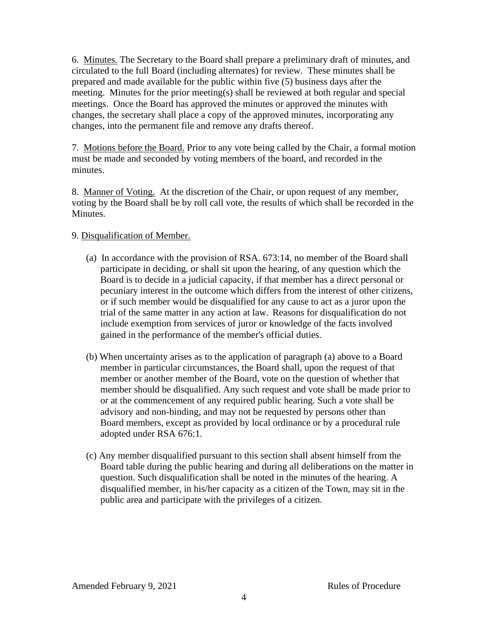6. Minutes. The Secretary to the Board shall prepare a preliminary draft of minutes, and circulated to the full Board (including alternates) for review. These minutes shall be prepared and made available for the public within five (5) business days after the meeting. Minutes for the prior meeting(s) shall be reviewed at both regular and special meetings. Once the Board has approved the minutes or approved the minutes with changes, the secretary shall place a copy of the approved minutes, incorporating any changes, into the permanent file and remove any drafts thereof.

7. Motions before the Board. Prior to any vote being called by the Chair, a formal motion must be made and seconded by voting members of the board, and recorded in the minutes.

8. Manner of Voting. At the discretion of the Chair, or upon request of any member, voting by the Board shall be by roll call vote, the results of which shall be recorded in the Minutes.

### 9. Disqualification of Member.

- (a) In accordance with the provision of RSA. 673:14, no member of the Board shall participate in deciding, or shall sit upon the hearing, of any question which the Board is to decide in a judicial capacity, if that member has a direct personal or pecuniary interest in the outcome which differs from the interest of other citizens, or if such member would be disqualified for any cause to act as a juror upon the trial of the same matter in any action at law. Reasons for disqualification do not include exemption from services of juror or knowledge of the facts involved gained in the performance of the member's official duties.
- (b) When uncertainty arises as to the application of paragraph (a) above to a Board member in particular circumstances, the Board shall, upon the request of that member or another member of the Board, vote on the question of whether that member should be disqualified. Any such request and vote shall be made prior to or at the commencement of any required public hearing. Such a vote shall be advisory and non-binding, and may not be requested by persons other than Board members, except as provided by local ordinance or by a procedural rule adopted under RSA 676:1.
- (c) Any member disqualified pursuant to this section shall absent himself from the Board table during the public hearing and during all deliberations on the matter in question. Such disqualification shall be noted in the minutes of the hearing. A disqualified member, in his/her capacity as a citizen of the Town, may sit in the public area and participate with the privileges of a citizen.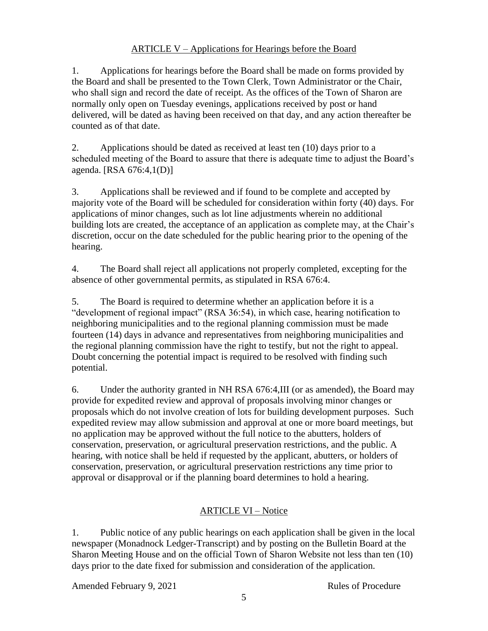# ARTICLE V – Applications for Hearings before the Board

1. Applications for hearings before the Board shall be made on forms provided by the Board and shall be presented to the Town Clerk, Town Administrator or the Chair, who shall sign and record the date of receipt. As the offices of the Town of Sharon are normally only open on Tuesday evenings, applications received by post or hand delivered, will be dated as having been received on that day, and any action thereafter be counted as of that date.

2. Applications should be dated as received at least ten (10) days prior to a scheduled meeting of the Board to assure that there is adequate time to adjust the Board's agenda. [RSA 676:4,1(D)]

3. Applications shall be reviewed and if found to be complete and accepted by majority vote of the Board will be scheduled for consideration within forty (40) days. For applications of minor changes, such as lot line adjustments wherein no additional building lots are created, the acceptance of an application as complete may, at the Chair's discretion, occur on the date scheduled for the public hearing prior to the opening of the hearing.

4. The Board shall reject all applications not properly completed, excepting for the absence of other governmental permits, as stipulated in RSA 676:4.

5. The Board is required to determine whether an application before it is a "development of regional impact" (RSA 36:54), in which case, hearing notification to neighboring municipalities and to the regional planning commission must be made fourteen (14) days in advance and representatives from neighboring municipalities and the regional planning commission have the right to testify, but not the right to appeal. Doubt concerning the potential impact is required to be resolved with finding such potential.

6. Under the authority granted in NH RSA 676:4,III (or as amended), the Board may provide for expedited review and approval of proposals involving minor changes or proposals which do not involve creation of lots for building development purposes. Such expedited review may allow submission and approval at one or more board meetings, but no application may be approved without the full notice to the abutters, holders of conservation, preservation, or agricultural preservation restrictions, and the public. A hearing, with notice shall be held if requested by the applicant, abutters, or holders of conservation, preservation, or agricultural preservation restrictions any time prior to approval or disapproval or if the planning board determines to hold a hearing.

# ARTICLE VI – Notice

1. Public notice of any public hearings on each application shall be given in the local newspaper (Monadnock Ledger-Transcript) and by posting on the Bulletin Board at the Sharon Meeting House and on the official Town of Sharon Website not less than ten (10) days prior to the date fixed for submission and consideration of the application.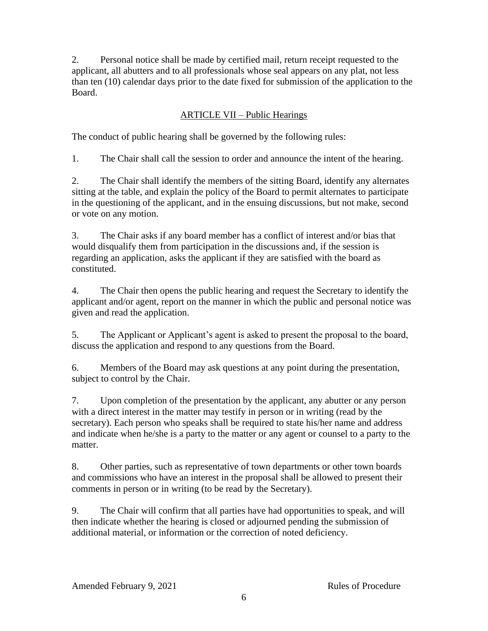2. Personal notice shall be made by certified mail, return receipt requested to the applicant, all abutters and to all professionals whose seal appears on any plat, not less than ten (10) calendar days prior to the date fixed for submission of the application to the Board.

## ARTICLE VII – Public Hearings

The conduct of public hearing shall be governed by the following rules:

1. The Chair shall call the session to order and announce the intent of the hearing.

2. The Chair shall identify the members of the sitting Board, identify any alternates sitting at the table, and explain the policy of the Board to permit alternates to participate in the questioning of the applicant, and in the ensuing discussions, but not make, second or vote on any motion.

3. The Chair asks if any board member has a conflict of interest and/or bias that would disqualify them from participation in the discussions and, if the session is regarding an application, asks the applicant if they are satisfied with the board as constituted.

4. The Chair then opens the public hearing and request the Secretary to identify the applicant and/or agent, report on the manner in which the public and personal notice was given and read the application.

5. The Applicant or Applicant's agent is asked to present the proposal to the board, discuss the application and respond to any questions from the Board.

6. Members of the Board may ask questions at any point during the presentation, subject to control by the Chair.

7. Upon completion of the presentation by the applicant, any abutter or any person with a direct interest in the matter may testify in person or in writing (read by the secretary). Each person who speaks shall be required to state his/her name and address and indicate when he/she is a party to the matter or any agent or counsel to a party to the matter.

8. Other parties, such as representative of town departments or other town boards and commissions who have an interest in the proposal shall be allowed to present their comments in person or in writing (to be read by the Secretary).

9. The Chair will confirm that all parties have had opportunities to speak, and will then indicate whether the hearing is closed or adjourned pending the submission of additional material, or information or the correction of noted deficiency.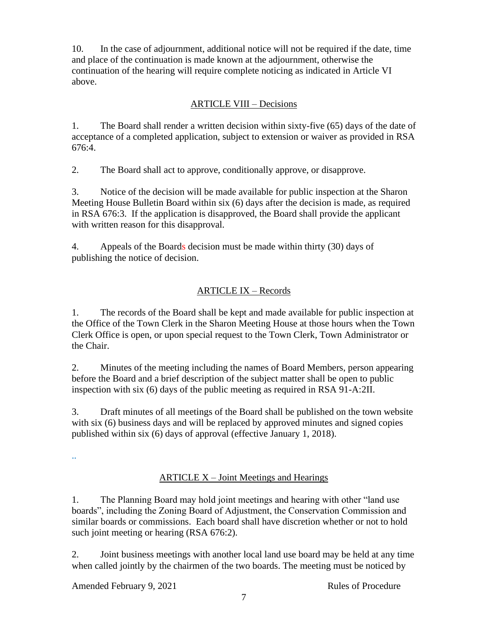10. In the case of adjournment, additional notice will not be required if the date, time and place of the continuation is made known at the adjournment, otherwise the continuation of the hearing will require complete noticing as indicated in Article VI above.

## ARTICLE VIII – Decisions

1. The Board shall render a written decision within sixty-five (65) days of the date of acceptance of a completed application, subject to extension or waiver as provided in RSA 676:4.

2. The Board shall act to approve, conditionally approve, or disapprove.

3. Notice of the decision will be made available for public inspection at the Sharon Meeting House Bulletin Board within six (6) days after the decision is made, as required in RSA 676:3. If the application is disapproved, the Board shall provide the applicant with written reason for this disapproval.

4. Appeals of the Boards decision must be made within thirty (30) days of publishing the notice of decision.

# ARTICLE IX – Records

1. The records of the Board shall be kept and made available for public inspection at the Office of the Town Clerk in the Sharon Meeting House at those hours when the Town Clerk Office is open, or upon special request to the Town Clerk, Town Administrator or the Chair.

2. Minutes of the meeting including the names of Board Members, person appearing before the Board and a brief description of the subject matter shall be open to public inspection with six (6) days of the public meeting as required in RSA 91-A:2II.

3. Draft minutes of all meetings of the Board shall be published on the town website with six (6) business days and will be replaced by approved minutes and signed copies published within six (6) days of approval (effective January 1, 2018).

..

# ARTICLE X – Joint Meetings and Hearings

1. The Planning Board may hold joint meetings and hearing with other "land use boards", including the Zoning Board of Adjustment, the Conservation Commission and similar boards or commissions. Each board shall have discretion whether or not to hold such joint meeting or hearing (RSA 676:2).

2. Joint business meetings with another local land use board may be held at any time when called jointly by the chairmen of the two boards. The meeting must be noticed by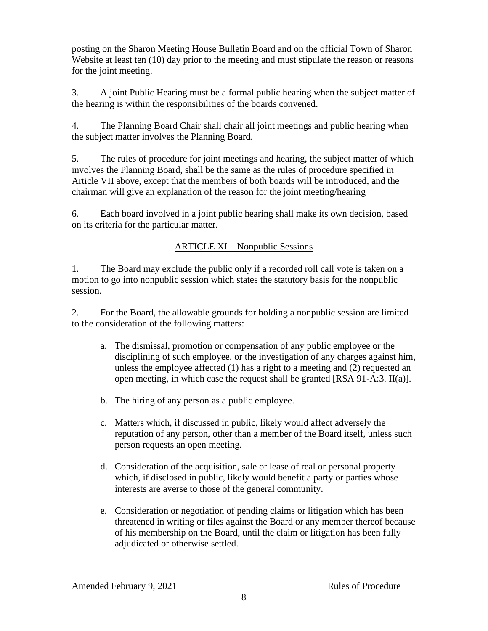posting on the Sharon Meeting House Bulletin Board and on the official Town of Sharon Website at least ten (10) day prior to the meeting and must stipulate the reason or reasons for the joint meeting.

3. A joint Public Hearing must be a formal public hearing when the subject matter of the hearing is within the responsibilities of the boards convened.

4. The Planning Board Chair shall chair all joint meetings and public hearing when the subject matter involves the Planning Board.

5. The rules of procedure for joint meetings and hearing, the subject matter of which involves the Planning Board, shall be the same as the rules of procedure specified in Article VII above, except that the members of both boards will be introduced, and the chairman will give an explanation of the reason for the joint meeting/hearing

6. Each board involved in a joint public hearing shall make its own decision, based on its criteria for the particular matter.

## ARTICLE XI – Nonpublic Sessions

1. The Board may exclude the public only if a recorded roll call vote is taken on a motion to go into nonpublic session which states the statutory basis for the nonpublic session.

2. For the Board, the allowable grounds for holding a nonpublic session are limited to the consideration of the following matters:

- a. The dismissal, promotion or compensation of any public employee or the disciplining of such employee, or the investigation of any charges against him, unless the employee affected (1) has a right to a meeting and (2) requested an open meeting, in which case the request shall be granted [RSA 91-A:3. II(a)].
- b. The hiring of any person as a public employee.
- c. Matters which, if discussed in public, likely would affect adversely the reputation of any person, other than a member of the Board itself, unless such person requests an open meeting.
- d. Consideration of the acquisition, sale or lease of real or personal property which, if disclosed in public, likely would benefit a party or parties whose interests are averse to those of the general community.
- e. Consideration or negotiation of pending claims or litigation which has been threatened in writing or files against the Board or any member thereof because of his membership on the Board, until the claim or litigation has been fully adjudicated or otherwise settled.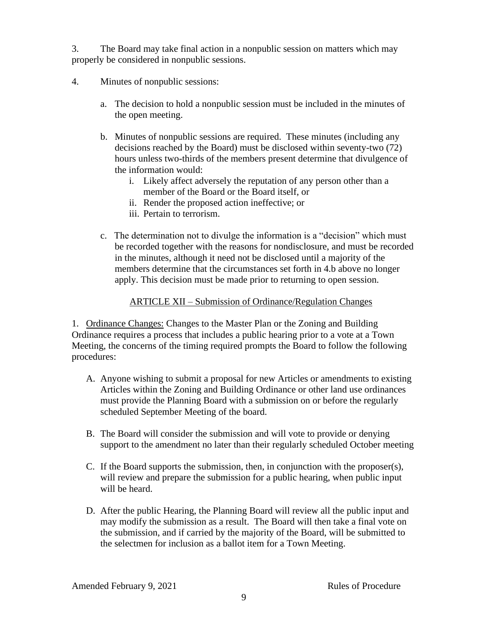3. The Board may take final action in a nonpublic session on matters which may properly be considered in nonpublic sessions.

- 4. Minutes of nonpublic sessions:
	- a. The decision to hold a nonpublic session must be included in the minutes of the open meeting.
	- b. Minutes of nonpublic sessions are required. These minutes (including any decisions reached by the Board) must be disclosed within seventy-two (72) hours unless two-thirds of the members present determine that divulgence of the information would:
		- i. Likely affect adversely the reputation of any person other than a member of the Board or the Board itself, or
		- ii. Render the proposed action ineffective; or
		- iii. Pertain to terrorism.
	- c. The determination not to divulge the information is a "decision" which must be recorded together with the reasons for nondisclosure, and must be recorded in the minutes, although it need not be disclosed until a majority of the members determine that the circumstances set forth in 4.b above no longer apply. This decision must be made prior to returning to open session.

## ARTICLE XII – Submission of Ordinance/Regulation Changes

1. Ordinance Changes: Changes to the Master Plan or the Zoning and Building Ordinance requires a process that includes a public hearing prior to a vote at a Town Meeting, the concerns of the timing required prompts the Board to follow the following procedures:

- A. Anyone wishing to submit a proposal for new Articles or amendments to existing Articles within the Zoning and Building Ordinance or other land use ordinances must provide the Planning Board with a submission on or before the regularly scheduled September Meeting of the board.
- B. The Board will consider the submission and will vote to provide or denying support to the amendment no later than their regularly scheduled October meeting
- C. If the Board supports the submission, then, in conjunction with the proposer(s), will review and prepare the submission for a public hearing, when public input will be heard.
- D. After the public Hearing, the Planning Board will review all the public input and may modify the submission as a result. The Board will then take a final vote on the submission, and if carried by the majority of the Board, will be submitted to the selectmen for inclusion as a ballot item for a Town Meeting.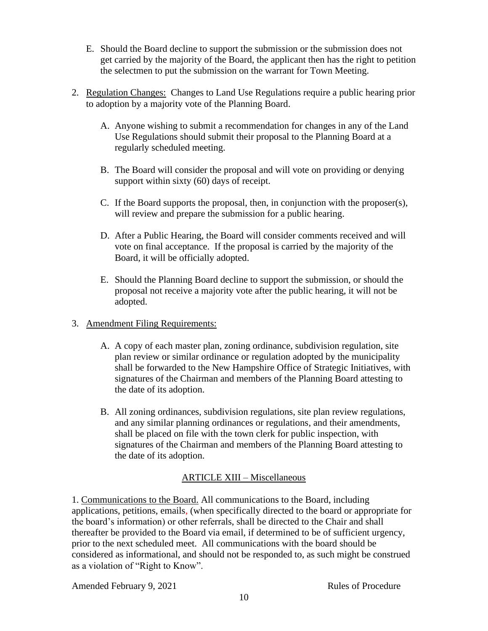- E. Should the Board decline to support the submission or the submission does not get carried by the majority of the Board, the applicant then has the right to petition the selectmen to put the submission on the warrant for Town Meeting.
- 2. Regulation Changes: Changes to Land Use Regulations require a public hearing prior to adoption by a majority vote of the Planning Board.
	- A. Anyone wishing to submit a recommendation for changes in any of the Land Use Regulations should submit their proposal to the Planning Board at a regularly scheduled meeting.
	- B. The Board will consider the proposal and will vote on providing or denying support within sixty (60) days of receipt.
	- C. If the Board supports the proposal, then, in conjunction with the proposer(s), will review and prepare the submission for a public hearing.
	- D. After a Public Hearing, the Board will consider comments received and will vote on final acceptance. If the proposal is carried by the majority of the Board, it will be officially adopted.
	- E. Should the Planning Board decline to support the submission, or should the proposal not receive a majority vote after the public hearing, it will not be adopted.
- 3. Amendment Filing Requirements:
	- A. A copy of each master plan, zoning ordinance, subdivision regulation, site plan review or similar ordinance or regulation adopted by the municipality shall be forwarded to the New Hampshire Office of Strategic Initiatives, with signatures of the Chairman and members of the Planning Board attesting to the date of its adoption.
	- B. All zoning ordinances, subdivision regulations, site plan review regulations, and any similar planning ordinances or regulations, and their amendments, shall be placed on file with the town clerk for public inspection, with signatures of the Chairman and members of the Planning Board attesting to the date of its adoption.

# ARTICLE XIII – Miscellaneous

1. Communications to the Board. All communications to the Board, including applications, petitions, emails, (when specifically directed to the board or appropriate for the board's information) or other referrals, shall be directed to the Chair and shall thereafter be provided to the Board via email, if determined to be of sufficient urgency, prior to the next scheduled meet. All communications with the board should be considered as informational, and should not be responded to, as such might be construed as a violation of "Right to Know".